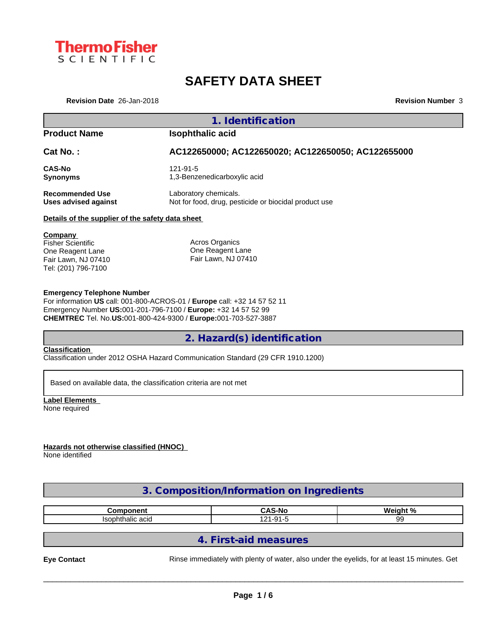

# **SAFETY DATA SHEET**

**Revision Date** 26-Jan-2018 **Revision Number** 3

## **1. Identification**

# **Product Name Isophthalic acid**

**Cat No. : AC122650000; AC122650020; AC122650050; AC122655000**

**CAS-No** 121-91-5<br> **Synonyms** 1,3-Benzo

**Synonyms** 1,3-Benzenedicarboxylic acid

**Recommended Use** Laboratory chemicals. **Uses advised against** Not for food, drug, pesticide or biocidal product use

### **Details of the supplier of the safety data sheet**

**Company**  Fisher Scientific One Reagent Lane Fair Lawn, NJ 07410 Tel: (201) 796-7100

Acros Organics One Reagent Lane Fair Lawn, NJ 07410

### **Emergency Telephone Number**

For information **US** call: 001-800-ACROS-01 / **Europe** call: +32 14 57 52 11 Emergency Number **US:**001-201-796-7100 / **Europe:** +32 14 57 52 99 **CHEMTREC** Tel. No.**US:**001-800-424-9300 / **Europe:**001-703-527-3887

# **2. Hazard(s) identification**

### **Classification**

Classification under 2012 OSHA Hazard Communication Standard (29 CFR 1910.1200)

Based on available data, the classification criteria are not met

**Label Elements** None required

## **Hazards not otherwise classified (HNOC)**

None identified

# **3. Composition/Information on Ingredients**

| ----------<br>nn                    | $\mathbf{c}$<br>n<br>S-No<br>$\sim$ $\sim$ | . പ<br><b>Wein</b><br>. |
|-------------------------------------|--------------------------------------------|-------------------------|
| $\sim$<br>lsophthallo<br>auu<br>טסו | .<br>$\mathbf{A}$<br>.                     | זר<br>້                 |

# **4. First-aid measures**

**Eye Contact** Rinse immediately with plenty of water, also under the eyelids, for at least 15 minutes. Get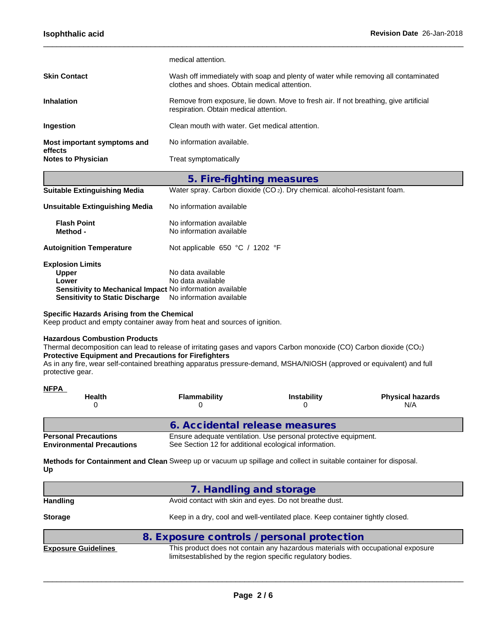| <b>Notes to Physician</b>              | Treat symptomatically                                                                                                              |
|----------------------------------------|------------------------------------------------------------------------------------------------------------------------------------|
| Most important symptoms and<br>effects | No information available.                                                                                                          |
| Ingestion                              | Clean mouth with water. Get medical attention.                                                                                     |
| <b>Inhalation</b>                      | Remove from exposure, lie down. Move to fresh air. If not breathing, give artificial<br>respiration. Obtain medical attention.     |
| <b>Skin Contact</b>                    | Wash off immediately with soap and plenty of water while removing all contaminated<br>clothes and shoes. Obtain medical attention. |
|                                        | medical attention.                                                                                                                 |

 $\_$  ,  $\_$  ,  $\_$  ,  $\_$  ,  $\_$  ,  $\_$  ,  $\_$  ,  $\_$  ,  $\_$  ,  $\_$  ,  $\_$  ,  $\_$  ,  $\_$  ,  $\_$  ,  $\_$  ,  $\_$  ,  $\_$  ,  $\_$  ,  $\_$  ,  $\_$  ,  $\_$  ,  $\_$  ,  $\_$  ,  $\_$  ,  $\_$  ,  $\_$  ,  $\_$  ,  $\_$  ,  $\_$  ,  $\_$  ,  $\_$  ,  $\_$  ,  $\_$  ,  $\_$  ,  $\_$  ,  $\_$  ,  $\_$  ,

|                                                           | 5. Fire-fighting measures                                                             |
|-----------------------------------------------------------|---------------------------------------------------------------------------------------|
| <b>Suitable Extinguishing Media</b>                       | Water spray. Carbon dioxide (CO <sub>2</sub> ). Dry chemical. alcohol-resistant foam. |
| Unsuitable Extinguishing Media                            | No information available                                                              |
| <b>Flash Point</b><br>Method -                            | No information available<br>No information available                                  |
| <b>Autoignition Temperature</b>                           | Not applicable 650 °C / 1202 °F                                                       |
| <b>Explosion Limits</b>                                   |                                                                                       |
| <b>Upper</b>                                              | No data available                                                                     |
| Lower                                                     | No data available                                                                     |
| Sensitivity to Mechanical Impact No information available |                                                                                       |
| <b>Sensitivity to Static Discharge</b>                    | No information available                                                              |
|                                                           |                                                                                       |

### **Specific Hazards Arising from the Chemical**

Keep product and empty container away from heat and sources of ignition.

### **Hazardous Combustion Products**

Thermal decomposition can lead to release of irritating gases and vapors Carbon monoxide (CO) Carbon dioxide (CO2) **Protective Equipment and Precautions for Firefighters**

As in any fire, wear self-contained breathing apparatus pressure-demand, MSHA/NIOSH (approved or equivalent) and full protective gear.

| <b>NFPA</b><br><b>Health</b>                                    | <b>Flammability</b>                                   | <b>Instability</b>                                              | <b>Physical hazards</b><br>N/A |
|-----------------------------------------------------------------|-------------------------------------------------------|-----------------------------------------------------------------|--------------------------------|
|                                                                 | 6. Accidental release measures                        |                                                                 |                                |
| <b>Personal Precautions</b><br><b>Environmental Precautions</b> | See Section 12 for additional ecological information. | Ensure adequate ventilation. Use personal protective equipment. |                                |

**Methods for Containment and Clean** Sweep up or vacuum up spillage and collect in suitable container for disposal. **Up**

|                            | 7. Handling and storage                                                                                                                         |
|----------------------------|-------------------------------------------------------------------------------------------------------------------------------------------------|
| <b>Handling</b>            | Avoid contact with skin and eyes. Do not breathe dust.                                                                                          |
| <b>Storage</b>             | Keep in a dry, cool and well-ventilated place. Keep container tightly closed.                                                                   |
|                            | 8. Exposure controls / personal protection                                                                                                      |
| <b>Exposure Guidelines</b> | This product does not contain any hazardous materials with occupational exposure<br>limitsestablished by the region specific regulatory bodies. |
|                            |                                                                                                                                                 |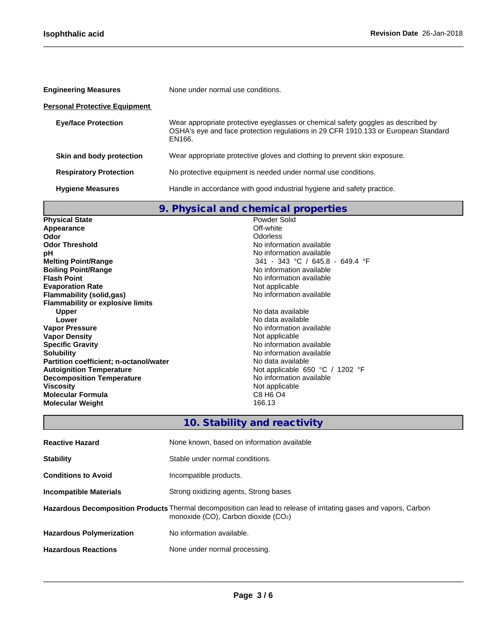п

| <b>Engineering Measures</b>          | None under normal use conditions.                                                                                                                                                 |
|--------------------------------------|-----------------------------------------------------------------------------------------------------------------------------------------------------------------------------------|
| <b>Personal Protective Equipment</b> |                                                                                                                                                                                   |
| <b>Eye/face Protection</b>           | Wear appropriate protective eyeglasses or chemical safety goggles as described by<br>OSHA's eye and face protection regulations in 29 CFR 1910.133 or European Standard<br>EN166. |
| Skin and body protection             | Wear appropriate protective gloves and clothing to prevent skin exposure.                                                                                                         |
| <b>Respiratory Protection</b>        | No protective equipment is needed under normal use conditions.                                                                                                                    |
| <b>Hygiene Measures</b>              | Handle in accordance with good industrial hygiene and safety practice.                                                                                                            |

 $\_$  ,  $\_$  ,  $\_$  ,  $\_$  ,  $\_$  ,  $\_$  ,  $\_$  ,  $\_$  ,  $\_$  ,  $\_$  ,  $\_$  ,  $\_$  ,  $\_$  ,  $\_$  ,  $\_$  ,  $\_$  ,  $\_$  ,  $\_$  ,  $\_$  ,  $\_$  ,  $\_$  ,  $\_$  ,  $\_$  ,  $\_$  ,  $\_$  ,  $\_$  ,  $\_$  ,  $\_$  ,  $\_$  ,  $\_$  ,  $\_$  ,  $\_$  ,  $\_$  ,  $\_$  ,  $\_$  ,  $\_$  ,  $\_$  ,

|                                         | 9. Physical and chemical properties |
|-----------------------------------------|-------------------------------------|
| <b>Physical State</b>                   | Powder Solid                        |
| Appearance                              | Off-white                           |
| Odor                                    | Odorless                            |
| <b>Odor Threshold</b>                   | No information available            |
| рH                                      | No information available            |
| <b>Melting Point/Range</b>              | 341 - 343 °C / 645.8 - 649.4 °F     |
| <b>Boiling Point/Range</b>              | No information available            |
| <b>Flash Point</b>                      | No information available            |
| <b>Evaporation Rate</b>                 | Not applicable                      |
| Flammability (solid,gas)                | No information available            |
| <b>Flammability or explosive limits</b> |                                     |
| <b>Upper</b>                            | No data available                   |
| Lower                                   | No data available                   |
| <b>Vapor Pressure</b>                   | No information available            |
| <b>Vapor Density</b>                    | Not applicable                      |
| <b>Specific Gravity</b>                 | No information available            |
| <b>Solubility</b>                       | No information available            |
| Partition coefficient; n-octanol/water  | No data available                   |
| <b>Autoignition Temperature</b>         | Not applicable $650 °C / 1202 °F$   |
| <b>Decomposition Temperature</b>        | No information available            |
| Viscosity                               | Not applicable                      |
| <b>Molecular Formula</b>                | C8 H <sub>6</sub> O <sub>4</sub>    |
| <b>Molecular Weight</b>                 | 166.13                              |

|                                 | 10. Stability and reactivity                                                                                                                                  |
|---------------------------------|---------------------------------------------------------------------------------------------------------------------------------------------------------------|
| <b>Reactive Hazard</b>          | None known, based on information available                                                                                                                    |
| <b>Stability</b>                | Stable under normal conditions.                                                                                                                               |
| <b>Conditions to Avoid</b>      | Incompatible products.                                                                                                                                        |
| <b>Incompatible Materials</b>   | Strong oxidizing agents, Strong bases                                                                                                                         |
|                                 | Hazardous Decomposition Products Thermal decomposition can lead to release of irritating gases and vapors, Carbon<br>monoxide $(CO)$ , Carbon dioxide $(CO2)$ |
| <b>Hazardous Polymerization</b> | No information available.                                                                                                                                     |
| <b>Hazardous Reactions</b>      | None under normal processing.                                                                                                                                 |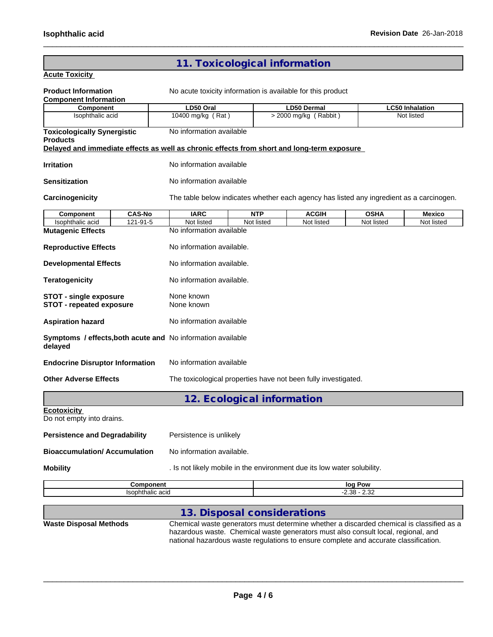# **11. Toxicological information**

 $\_$  ,  $\_$  ,  $\_$  ,  $\_$  ,  $\_$  ,  $\_$  ,  $\_$  ,  $\_$  ,  $\_$  ,  $\_$  ,  $\_$  ,  $\_$  ,  $\_$  ,  $\_$  ,  $\_$  ,  $\_$  ,  $\_$  ,  $\_$  ,  $\_$  ,  $\_$  ,  $\_$  ,  $\_$  ,  $\_$  ,  $\_$  ,  $\_$  ,  $\_$  ,  $\_$  ,  $\_$  ,  $\_$  ,  $\_$  ,  $\_$  ,  $\_$  ,  $\_$  ,  $\_$  ,  $\_$  ,  $\_$  ,  $\_$  ,

## **Acute Toxicity**

| <b>Product Information</b><br><b>Component Information</b>                                 | No acute toxicity information is available for this product |  |            |                                                                                          |             |                        |  |  |  |
|--------------------------------------------------------------------------------------------|-------------------------------------------------------------|--|------------|------------------------------------------------------------------------------------------|-------------|------------------------|--|--|--|
| <b>Component</b>                                                                           | LD50 Oral                                                   |  |            | <b>LD50 Dermal</b>                                                                       |             | <b>LC50 Inhalation</b> |  |  |  |
| Isophthalic acid                                                                           | 10400 mg/kg (Rat)                                           |  |            | > 2000 mg/kg (Rabbit)                                                                    |             | Not listed             |  |  |  |
| <b>Toxicologically Synergistic</b><br><b>Products</b>                                      | No information available                                    |  |            |                                                                                          |             |                        |  |  |  |
| Delayed and immediate effects as well as chronic effects from short and long-term exposure |                                                             |  |            |                                                                                          |             |                        |  |  |  |
| <b>Irritation</b>                                                                          | No information available                                    |  |            |                                                                                          |             |                        |  |  |  |
| <b>Sensitization</b>                                                                       | No information available                                    |  |            |                                                                                          |             |                        |  |  |  |
| Carcinogenicity                                                                            |                                                             |  |            | The table below indicates whether each agency has listed any ingredient as a carcinogen. |             |                        |  |  |  |
| <b>CAS-No</b><br>Component                                                                 | <b>IARC</b>                                                 |  | <b>NTP</b> | <b>ACGIH</b>                                                                             | <b>OSHA</b> | <b>Mexico</b>          |  |  |  |
| 121-91-5<br>Isophthalic acid                                                               | Not listed                                                  |  | Not listed | Not listed                                                                               | Not listed  | Not listed             |  |  |  |
| <b>Mutagenic Effects</b>                                                                   | No information available                                    |  |            |                                                                                          |             |                        |  |  |  |
| <b>Reproductive Effects</b>                                                                | No information available.                                   |  |            |                                                                                          |             |                        |  |  |  |
| <b>Developmental Effects</b>                                                               | No information available.                                   |  |            |                                                                                          |             |                        |  |  |  |
| <b>Teratogenicity</b>                                                                      | No information available.                                   |  |            |                                                                                          |             |                        |  |  |  |
| <b>STOT - single exposure</b><br><b>STOT - repeated exposure</b>                           | None known<br>None known                                    |  |            |                                                                                          |             |                        |  |  |  |
| <b>Aspiration hazard</b>                                                                   | No information available                                    |  |            |                                                                                          |             |                        |  |  |  |
| Symptoms / effects, both acute and No information available<br>delayed                     |                                                             |  |            |                                                                                          |             |                        |  |  |  |
| <b>Endocrine Disruptor Information</b>                                                     | No information available                                    |  |            |                                                                                          |             |                        |  |  |  |
| <b>Other Adverse Effects</b>                                                               |                                                             |  |            | The toxicological properties have not been fully investigated.                           |             |                        |  |  |  |
|                                                                                            | 12. Ecological information                                  |  |            |                                                                                          |             |                        |  |  |  |
| <b>Ecotoxicity</b><br>Do not empty into drains.                                            |                                                             |  |            |                                                                                          |             |                        |  |  |  |
| <b>Persistence and Degradability</b>                                                       | Persistence is unlikely                                     |  |            |                                                                                          |             |                        |  |  |  |
| <b>Bioaccumulation/Accumulation</b>                                                        | No information available.                                   |  |            |                                                                                          |             |                        |  |  |  |
| <b>Mobility</b>                                                                            |                                                             |  |            | . Is not likely mobile in the environment due its low water solubility.                  |             |                        |  |  |  |

| - | lo⁄<br>o۷<br>     |
|---|-------------------|
|   | $\Omega$<br><br>ـ |

# **13. Disposal considerations**

**Waste Disposal Methods** Chemical waste generators must determine whether a discarded chemical is classified as a hazardous waste. Chemical waste generators must also consult local, regional, and national hazardous waste regulations to ensure complete and accurate classification.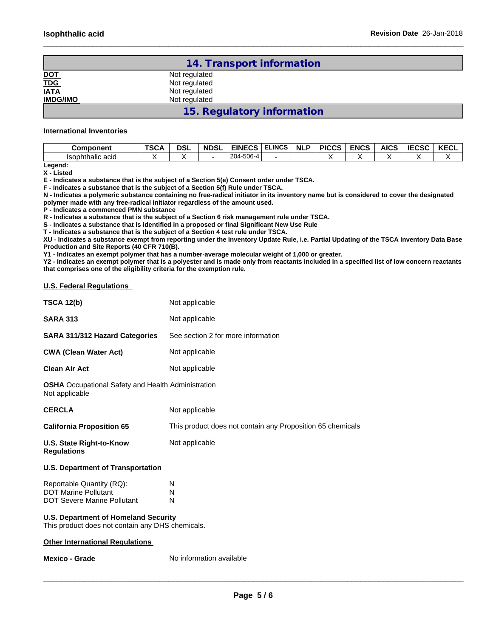|                                        | 14. Transport information  |  |
|----------------------------------------|----------------------------|--|
| DOT<br>T <u>DG</u><br>IATA<br>IMDG/IMO | Not regulated              |  |
|                                        | Not regulated              |  |
|                                        | Not regulated              |  |
|                                        | Not regulated              |  |
|                                        | 15. Regulatory information |  |

 $\_$  ,  $\_$  ,  $\_$  ,  $\_$  ,  $\_$  ,  $\_$  ,  $\_$  ,  $\_$  ,  $\_$  ,  $\_$  ,  $\_$  ,  $\_$  ,  $\_$  ,  $\_$  ,  $\_$  ,  $\_$  ,  $\_$  ,  $\_$  ,  $\_$  ,  $\_$  ,  $\_$  ,  $\_$  ,  $\_$  ,  $\_$  ,  $\_$  ,  $\_$  ,  $\_$  ,  $\_$  ,  $\_$  ,  $\_$  ,  $\_$  ,  $\_$  ,  $\_$  ,  $\_$  ,  $\_$  ,  $\_$  ,  $\_$  ,

#### **International Inventories**

| Component        | <b>TSCA</b> | <b>DSL</b> | <b>NDSL</b> | EINECS                                      | <b>ELINCS</b> | <b>NLF</b> | <b>PICCS</b> | <b>ENCS</b> | <b>AICS</b> | I E C C C<br>エヒしコし | <b>KECL</b> |
|------------------|-------------|------------|-------------|---------------------------------------------|---------------|------------|--------------|-------------|-------------|--------------------|-------------|
| Isophthalic acid |             |            |             | $-506 - 4$<br>0 <sup>0</sup><br>$LU4 - N =$ |               |            |              |             |             |                    |             |

**Legend: X - Listed**

**E - Indicates a substance that is the subject of a Section 5(e) Consent order under TSCA.**

**F - Indicates a substance that is the subject of a Section 5(f) Rule under TSCA.**

**N - Indicates a polymeric substance containing no free-radical initiator in its inventory name but is considered to cover the designated polymer made with any free-radical initiator regardless of the amount used.**

**P - Indicates a commenced PMN substance**

**R - Indicates a substance that is the subject of a Section 6 risk management rule under TSCA.**

**S - Indicates a substance that is identified in a proposed or final Significant New Use Rule**

**T - Indicates a substance that is the subject of a Section 4 test rule under TSCA.**

**XU - Indicates a substance exempt from reporting under the Inventory Update Rule, i.e. Partial Updating of the TSCA Inventory Data Base Production and Site Reports (40 CFR 710(B).**

**Y1 - Indicates an exempt polymer that has a number-average molecular weight of 1,000 or greater.**

**Y2 - Indicates an exempt polymer that is a polyester and is made only from reactants included in a specified list of low concern reactants that comprises one of the eligibility criteria for the exemption rule.**

#### **U.S. Federal Regulations**

| <b>TSCA 12(b)</b>                                                                              | Not applicable                                             |
|------------------------------------------------------------------------------------------------|------------------------------------------------------------|
| <b>SARA 313</b>                                                                                | Not applicable                                             |
| <b>SARA 311/312 Hazard Categories</b>                                                          | See section 2 for more information                         |
| <b>CWA (Clean Water Act)</b>                                                                   | Not applicable                                             |
| <b>Clean Air Act</b>                                                                           | Not applicable                                             |
| <b>OSHA</b> Occupational Safety and Health Administration<br>Not applicable                    |                                                            |
| <b>CERCLA</b>                                                                                  | Not applicable                                             |
| <b>California Proposition 65</b>                                                               | This product does not contain any Proposition 65 chemicals |
| U.S. State Right-to-Know<br><b>Regulations</b>                                                 | Not applicable                                             |
| <b>U.S. Department of Transportation</b>                                                       |                                                            |
| Reportable Quantity (RQ):<br><b>DOT Marine Pollutant</b><br><b>DOT Severe Marine Pollutant</b> | N<br>N<br>N                                                |
| <b>U.S. Department of Homeland Security</b>                                                    |                                                            |

This product does not contain any DHS chemicals.

### **Other International Regulations**

**Mexico - Grade** No information available